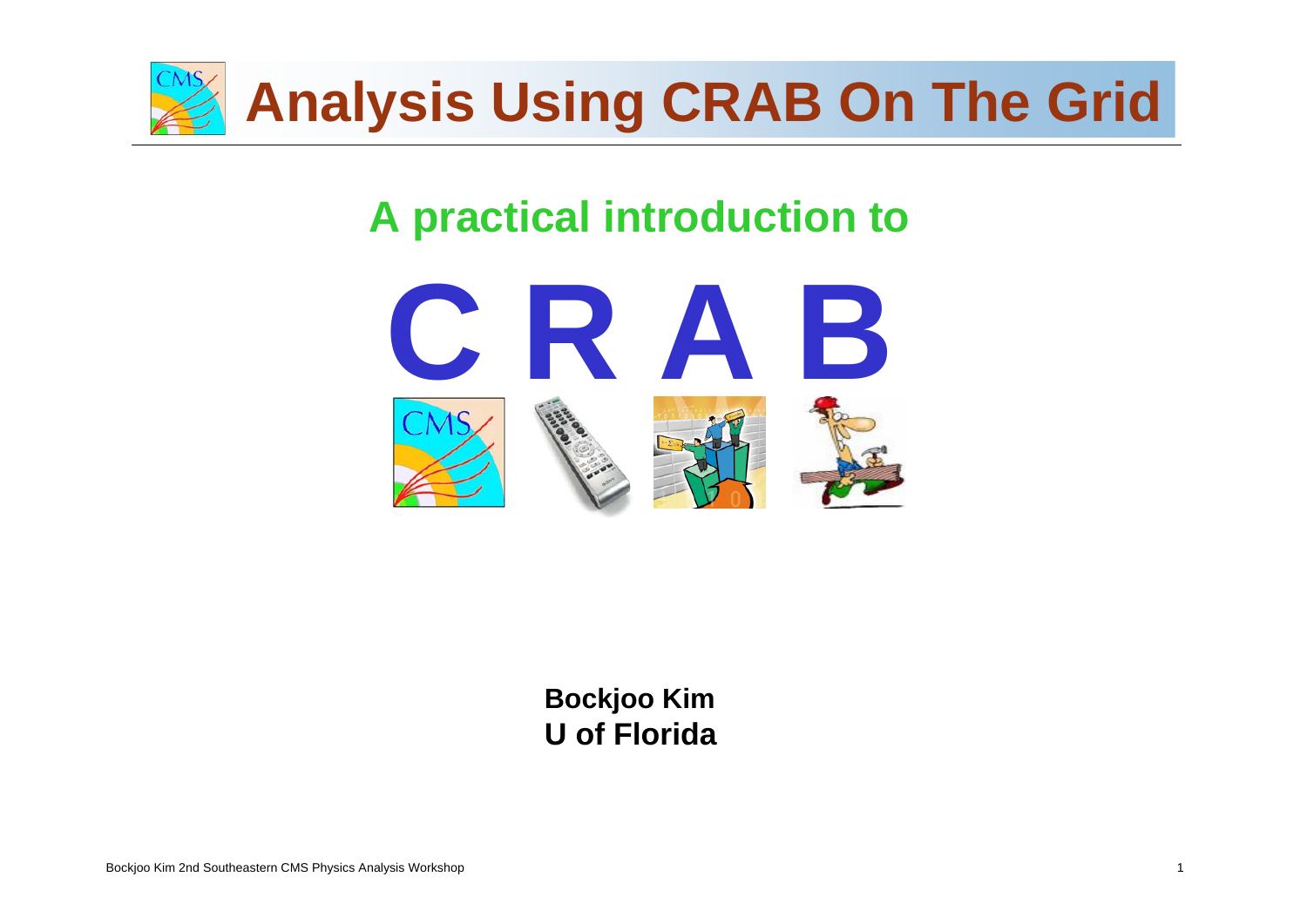

## **A practical introduction to**



**Stan DurkinBockjoo Kim The Ohio State University U of Florida**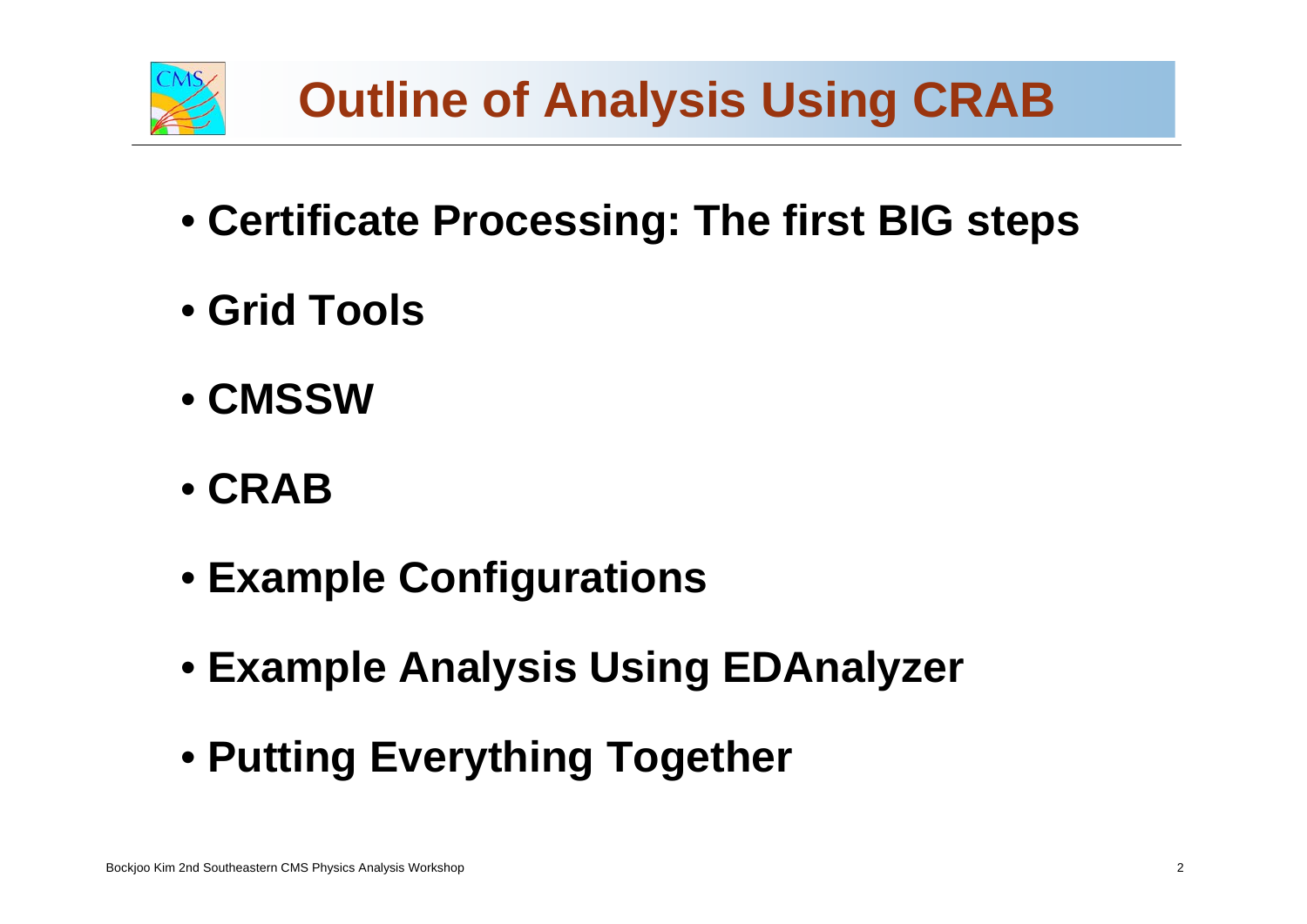

- **Certificate Processing: The first BIG steps**
- **Grid Tools**
- **CMSSW**
- **CRAB**
- **Example Configurations**
- **Example Analysis Using EDAnalyzer**
- Putting Everything Together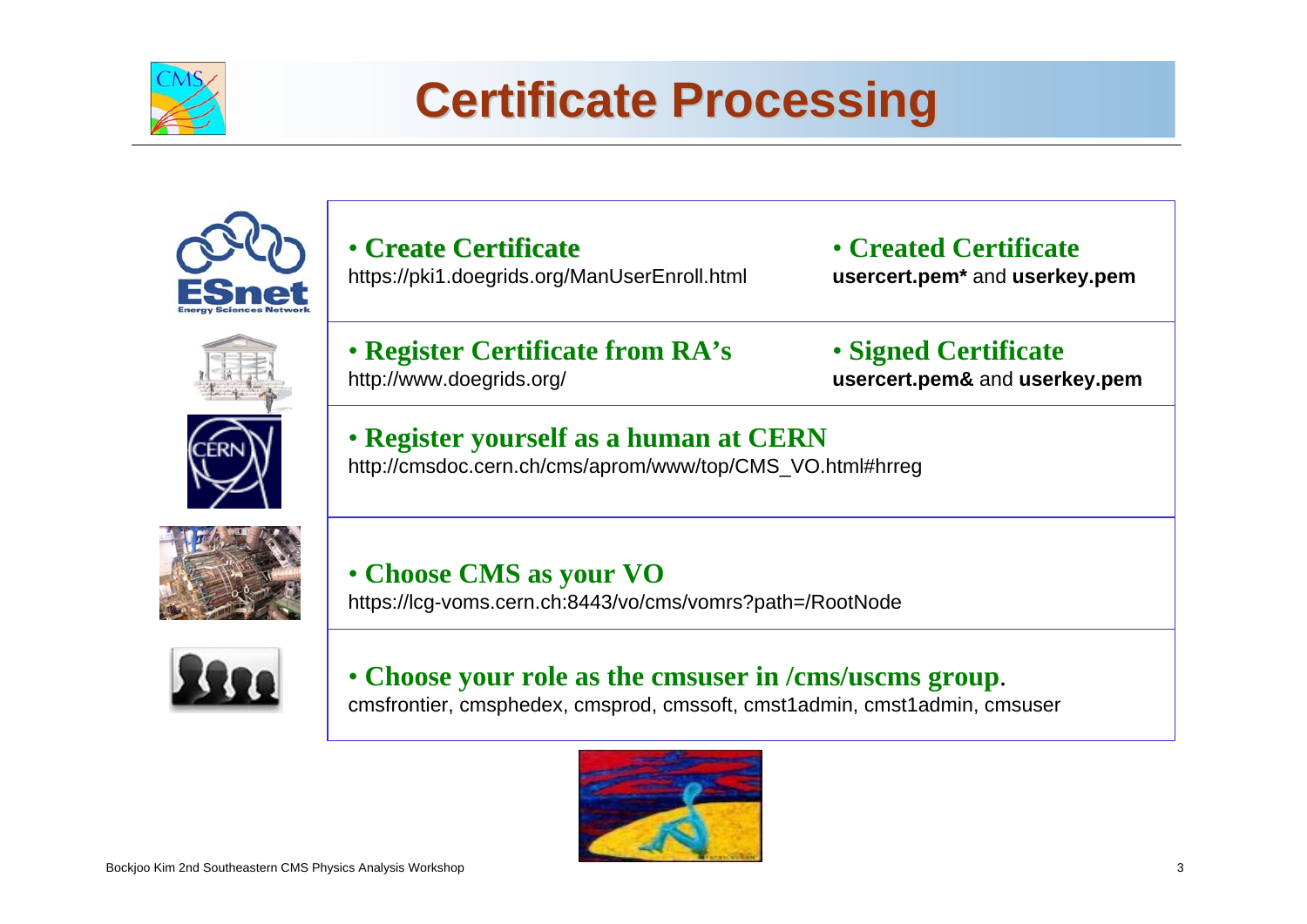

# **Certificate Processing Certificate Processing**



• **Create Certificate Create Certificate**https://pki1.doegrids.org/ManUserEnroll.html

• **Created Certificateusercert.pem\*** and **userkey.pem**



• **Register Certificate from RA's** http://www.doegrids.org/

• **Signed Certificate usercert.pem&** and **userkey.pem**







• **Choose CMS as your VO** https://lcg-voms.cern.ch:8443/vo/cms/vomrs?path=/RootNode



cmsfrontier, cmsphedex, cmsprod, cmssoft, cmst1admin, cmst1admin, cmsuser • **Choose your role as the cmsuser in /cms/uscms group**.

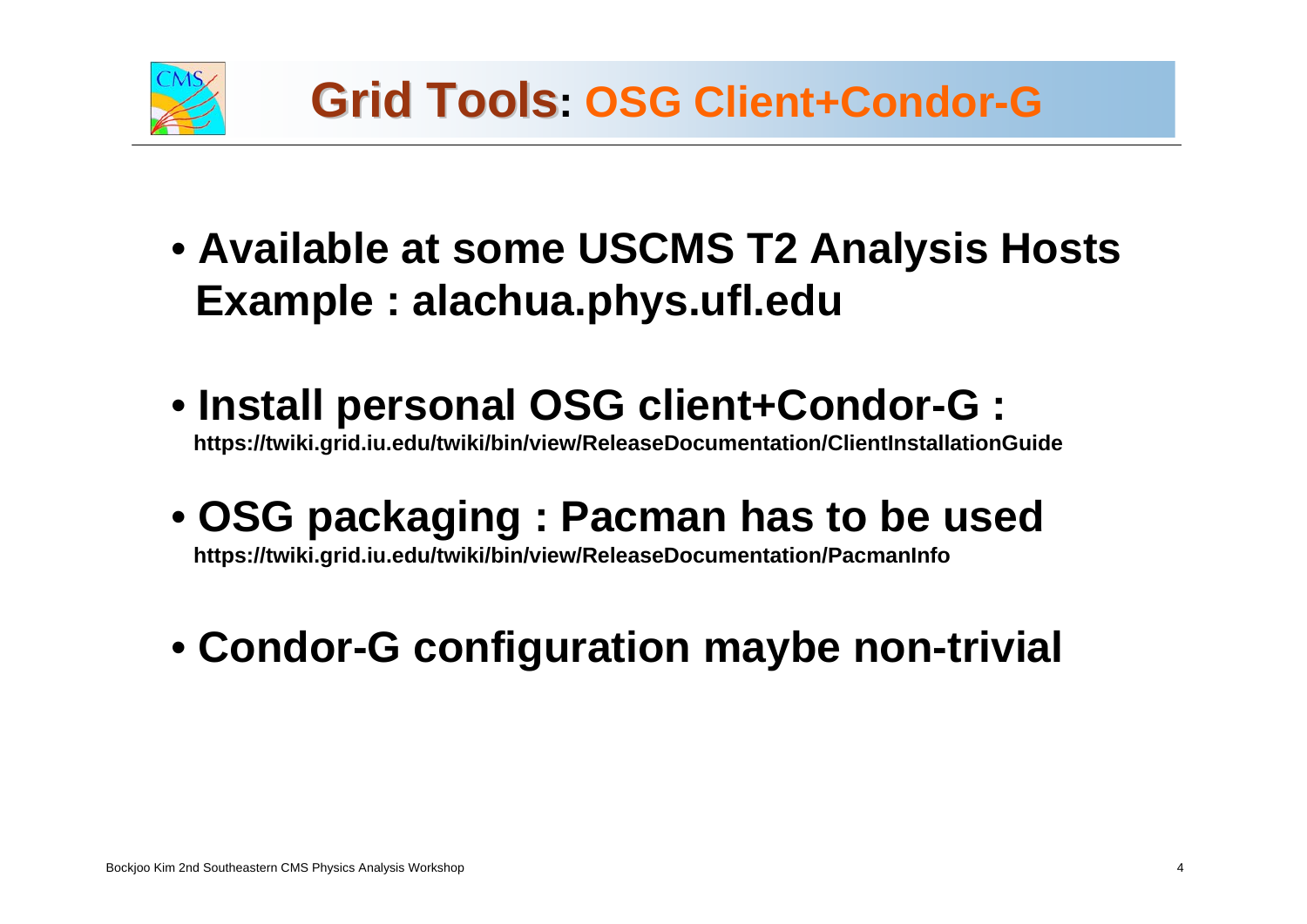

- **Available at some USCMS T2 Analysis Hosts Example : alachua.phys.ufl.edu**
- **Install personal OSG client+Condor-G : https://twiki.grid.iu.edu/twiki/bin/view/ReleaseDocumentation/ClientInstallationGuide**
- **OSG packaging : Pacman has to be used**

**https://twiki.grid.iu.edu/twiki/bin/view/ReleaseDocumentation/PacmanInfo**

• **Condor-G configuration maybe non-trivial**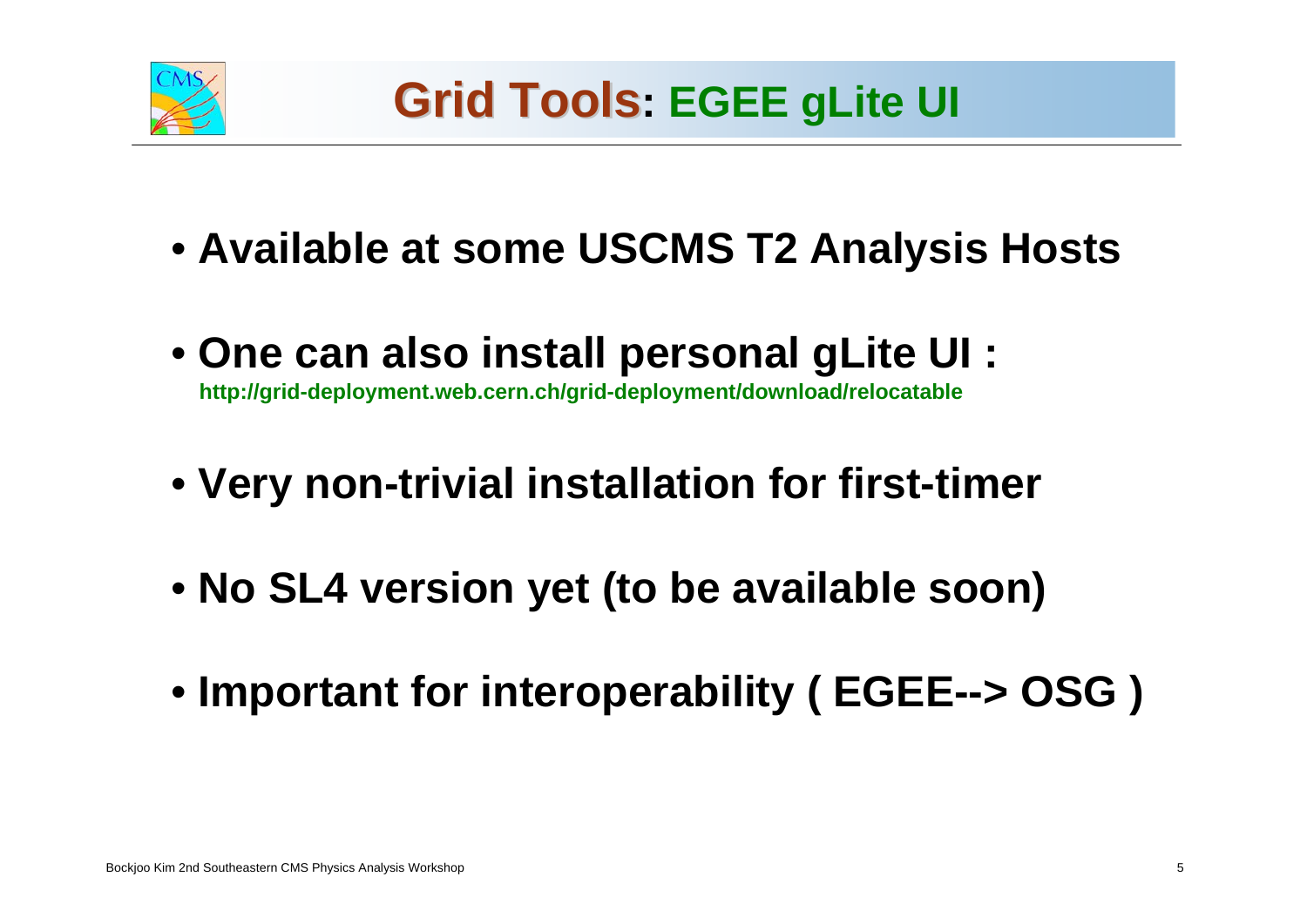

- **Available at some USCMS T2 Analysis Hosts**
- **One can also install personal gLite UI : http://grid-deployment.web.cern.ch/grid-deployment/download/relocatable**
- **Very non-trivial installation for first-timer**
- **No SL4 version yet (to be available soon)**
- **Stan Durkin Important for interoperability ( EGEE--> OSG )**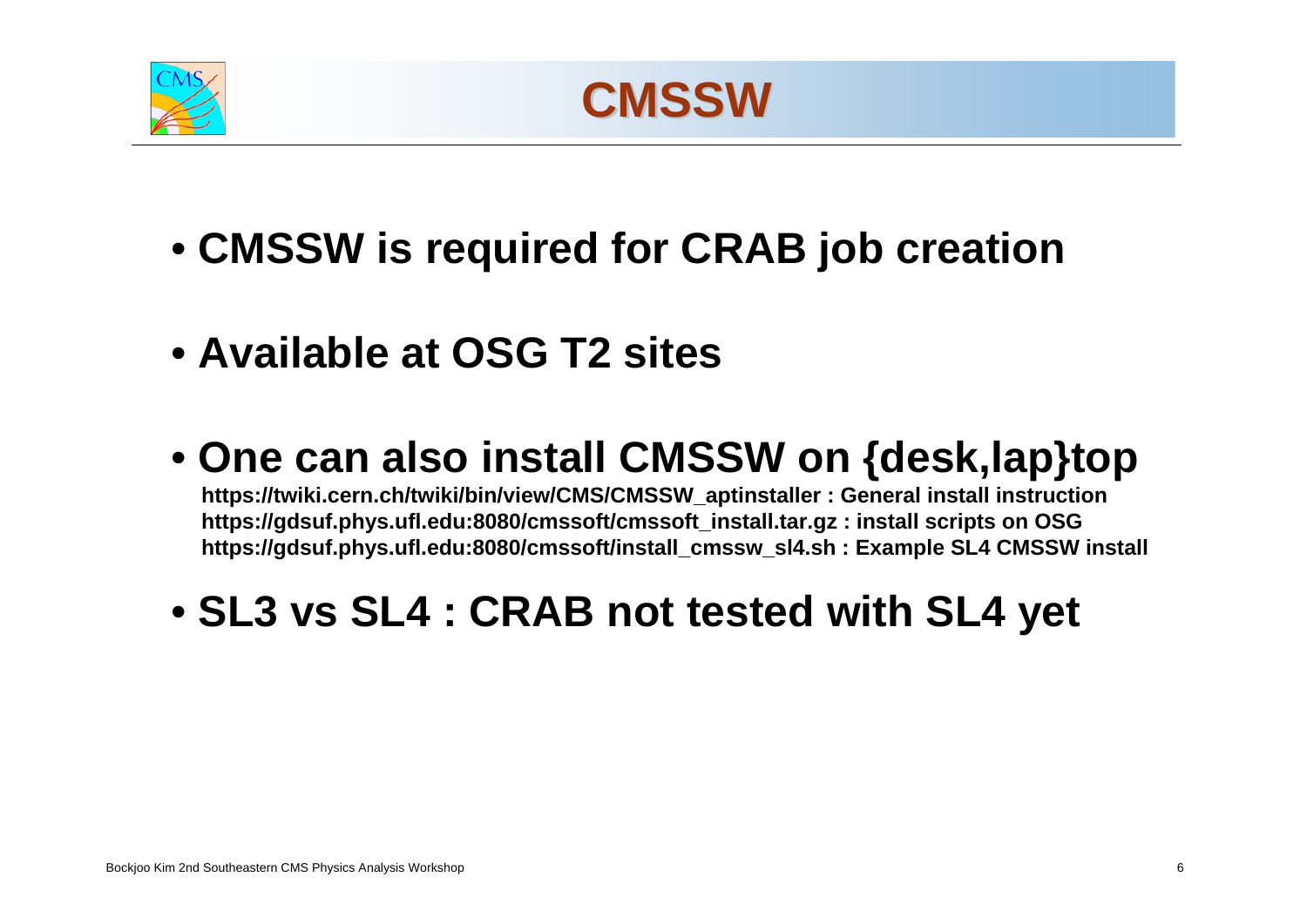



- **CMSSW is required for CRAB job creation**
- **Available at OSG T2 sites**
- **One can also install CMSSW on {desk,lap}top**

**https://twiki.cern.ch/twiki/bin/view/CMS/CMSSW\_aptinstaller : General install instruction https://gdsuf.phys.ufl.edu:8080/cmssoft/cmssoft\_install.tar.gz : install scripts on OSG https://gdsuf.phys.ufl.edu:8080/cmssoft/install\_cmssw\_sl4.sh : Example SL4 CMSSW install** 

• **SL3 vs SL4 : CRAB not tested with SL4 yet**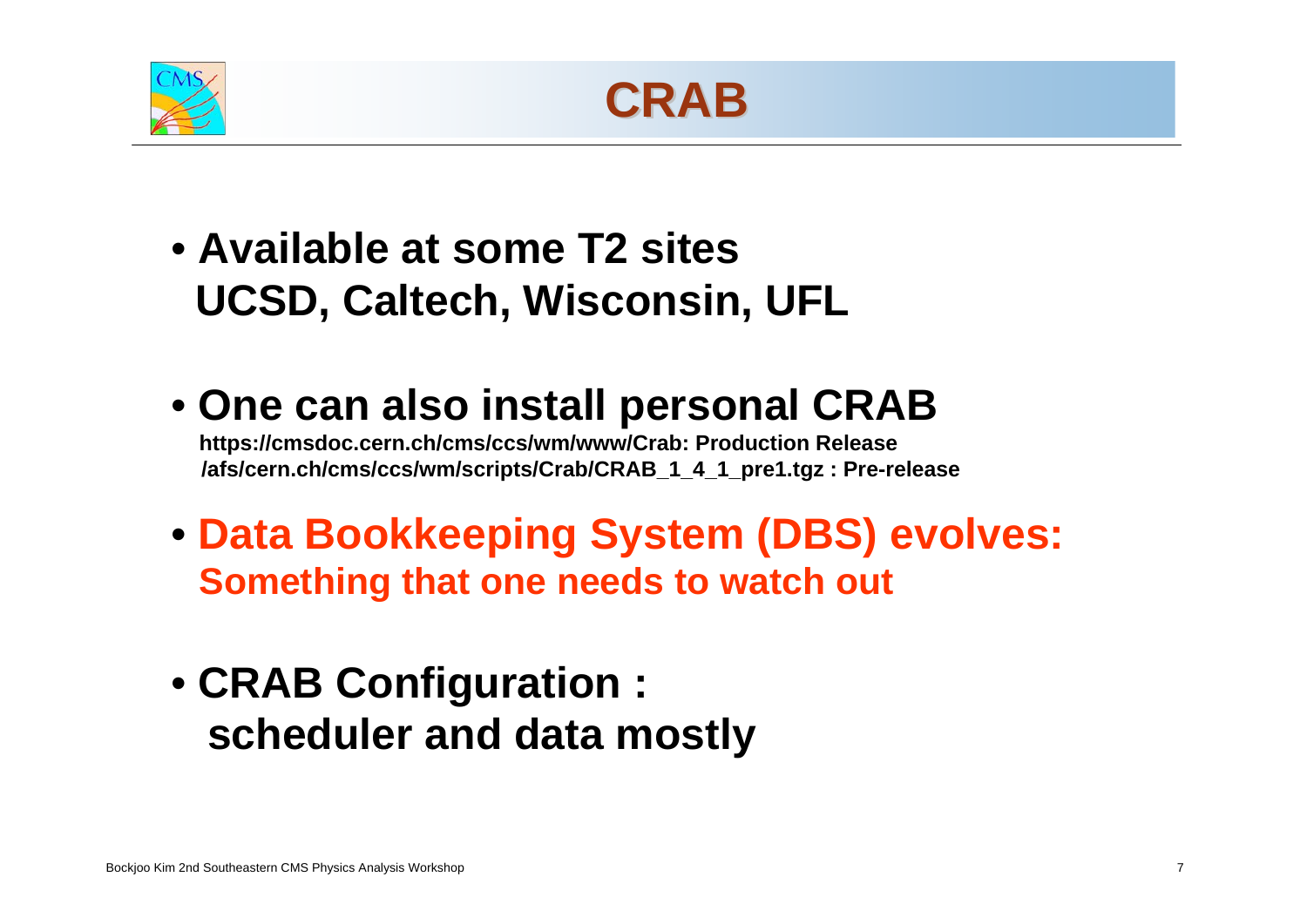



- **Available at some T2 sitesUCSD, Caltech, Wisconsin, UFL**
- **One can also install personal CRAB https://cmsdoc.cern.ch/cms/ccs/wm/www/Crab: Production Release /afs/cern.ch/cms/ccs/wm/scripts/Crab/CRAB\_1\_4\_1\_pre1.tgz : Pre-release**
- **Data Bookkeeping System (DBS) evolves: Something that one needs to watch out**
- **Stan Durkin**<br>Durkin Durkin **The Ohio State University** • **CRAB Configuration : scheduler and data mostly**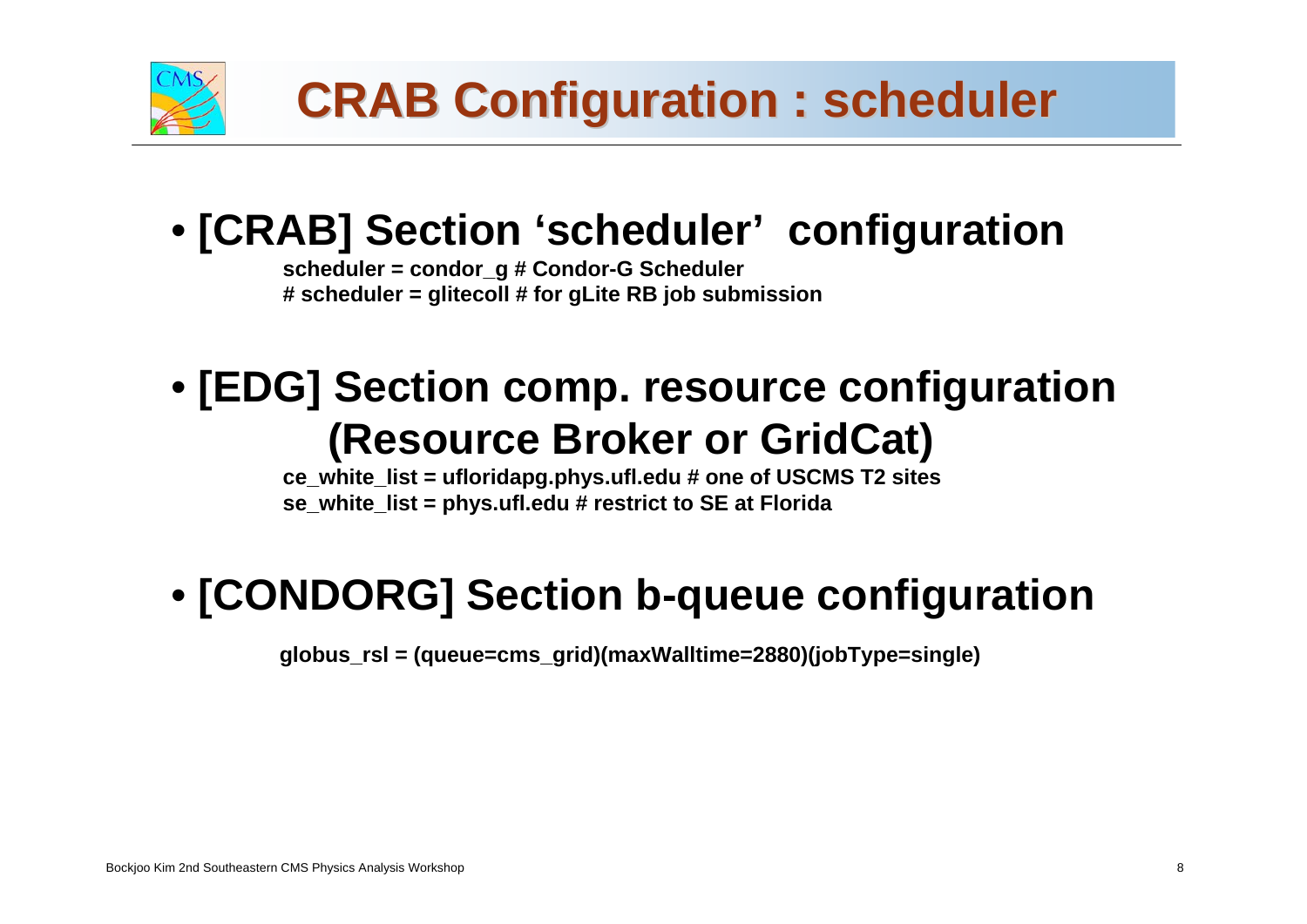

## • **[CRAB] Section 'scheduler' configuration**

**scheduler = condor\_g # Condor-G Scheduler # scheduler = glitecoll # for gLite RB job submission**

## • **[EDG] Section comp. resource configuration (Resource Broker or GridCat)**

**ce\_white\_list = ufloridapg.phys.ufl.edu # one of USCMS T2 sites se\_white\_list = phys.ufl.edu # restrict to SE at Florida**

## • **[CONDORG] Section b-queue configuration**

**globus\_rsl = (queue=cms\_grid)(maxWalltime=2880)(jobType=single)**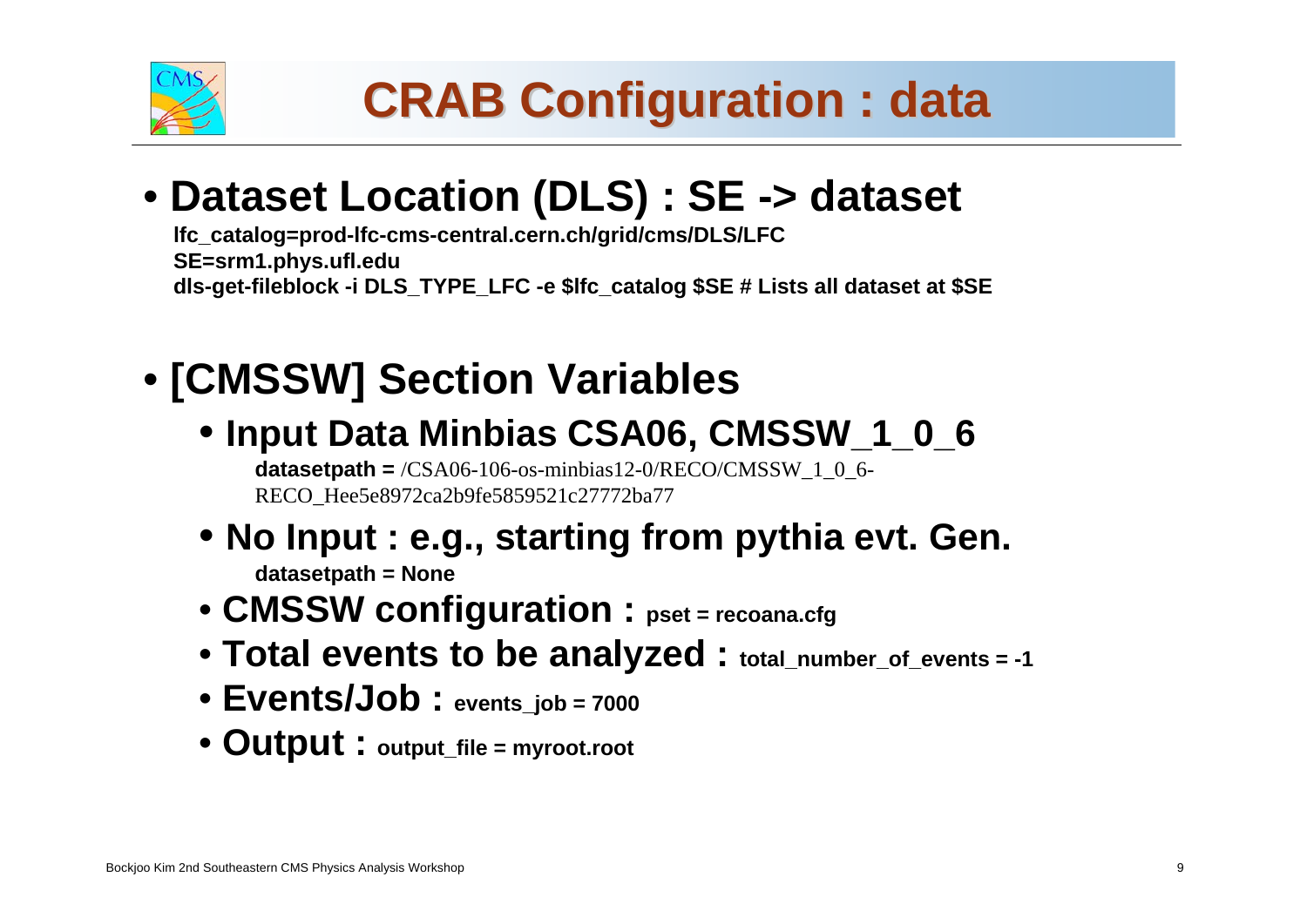

# **CRAB Configuration : data CRAB Configuration : data**

# **CMS Commissioning and First Data** • **Dataset Location (DLS) : SE -> dataset**

**lfc\_catalog=prod-lfc-cms-central.cern.ch/grid/cms/DLS/LFC SE=srm1.phys.ufl.edu dls-get-fileblock -i DLS\_TYPE\_LFC -e \$lfc\_catalog \$SE # Lists all dataset at \$SE**

## • **[CMSSW] Section Variables**

• **Input Data Minbias CSA06, CMSSW\_1\_0\_6**

**datasetpath** =  $/CSA06-106$ -os-minbias12-0/RECO/CMSSW 1 0 6-RECO\_Hee5e8972ca2b9fe5859521c27772ba77

- **No Input : e.g., starting from pythia evt. Gen. datasetpath = None**
- **CMSSW configuration : pset = recoana.cfg**
- **Total events to be analyzed : total\_number\_of\_events = -1**
- **Stan Durkin Events/Job : events\_job = 7000**
- **The Ohio State University Output : output\_file = myroot.root**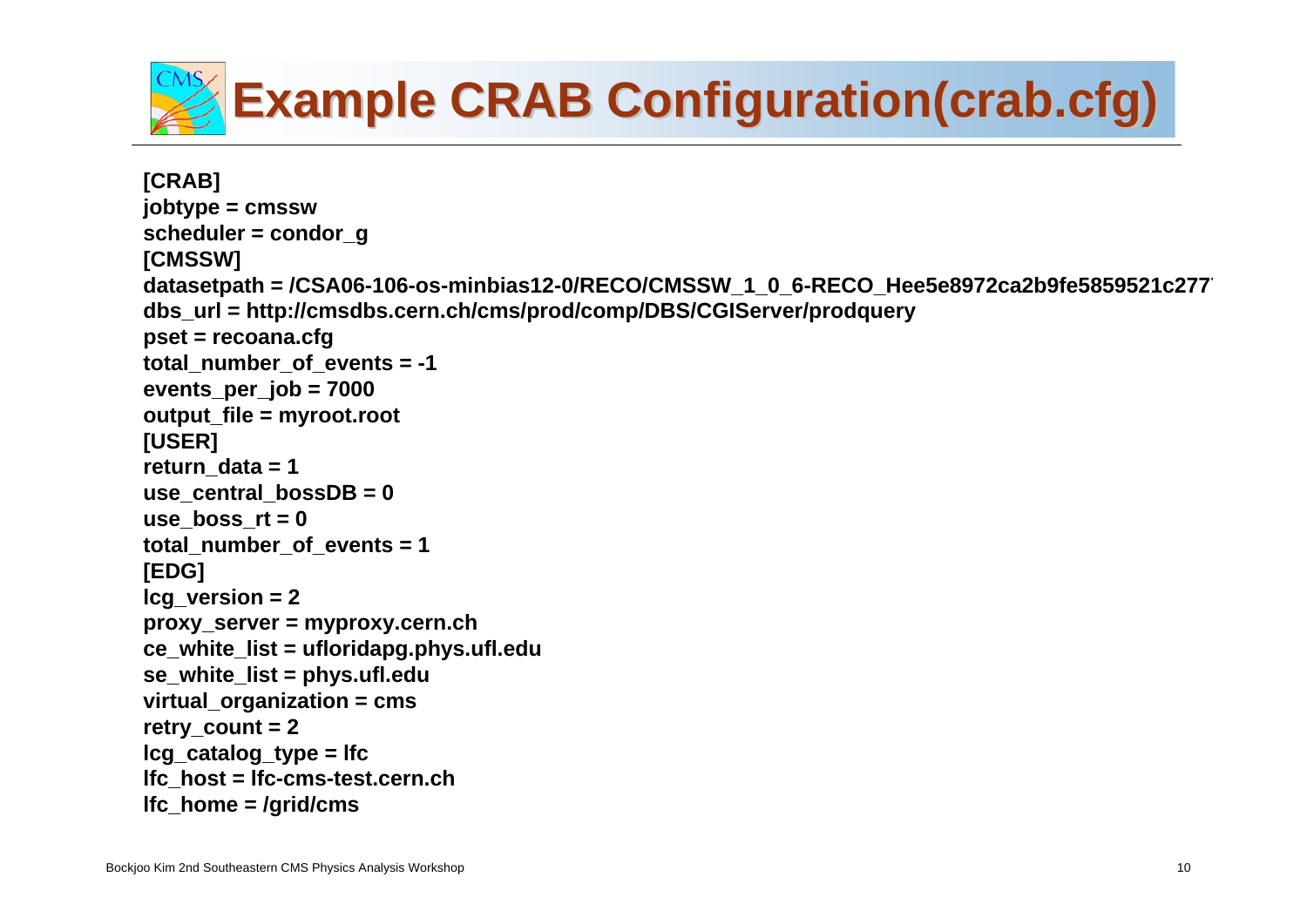

```
The Ohio State University
                          for the CMS Collaboration \mathcal{L}(\mathcal{L})[CRAB]
jobtype = cmssw
scheduler = condor_g
[CMSSW]
datasetpath = /CSA06-106-os-minbias12-0/RECO/CMSSW_1_0_6-RECO_Hee5e8972ca2b9fe5859521c2777
dbs_url = http://cmsdbs.cern.ch/cms/prod/comp/DBS/CGIServer/prodquery
pset = recoana.cfg
total_number_of_events = -1
events_per_job = 7000
output_file = myroot.root
[USER]
return_data = 1
use_central_bossDB = 0
use boss rt = 0total_number_of_events = 1
[EDG]
lcg_version = 2
proxy_server = myproxy.cern.ch
ce_white_list = ufloridapg.phys.ufl.edu
se_white_list = phys.ufl.edu
virtual_organization = cms
retry_count = 2
lcg_catalog_type = lfc
lfc_host = lfc-cms-test.cern.ch
lfc_home = /grid/cms
```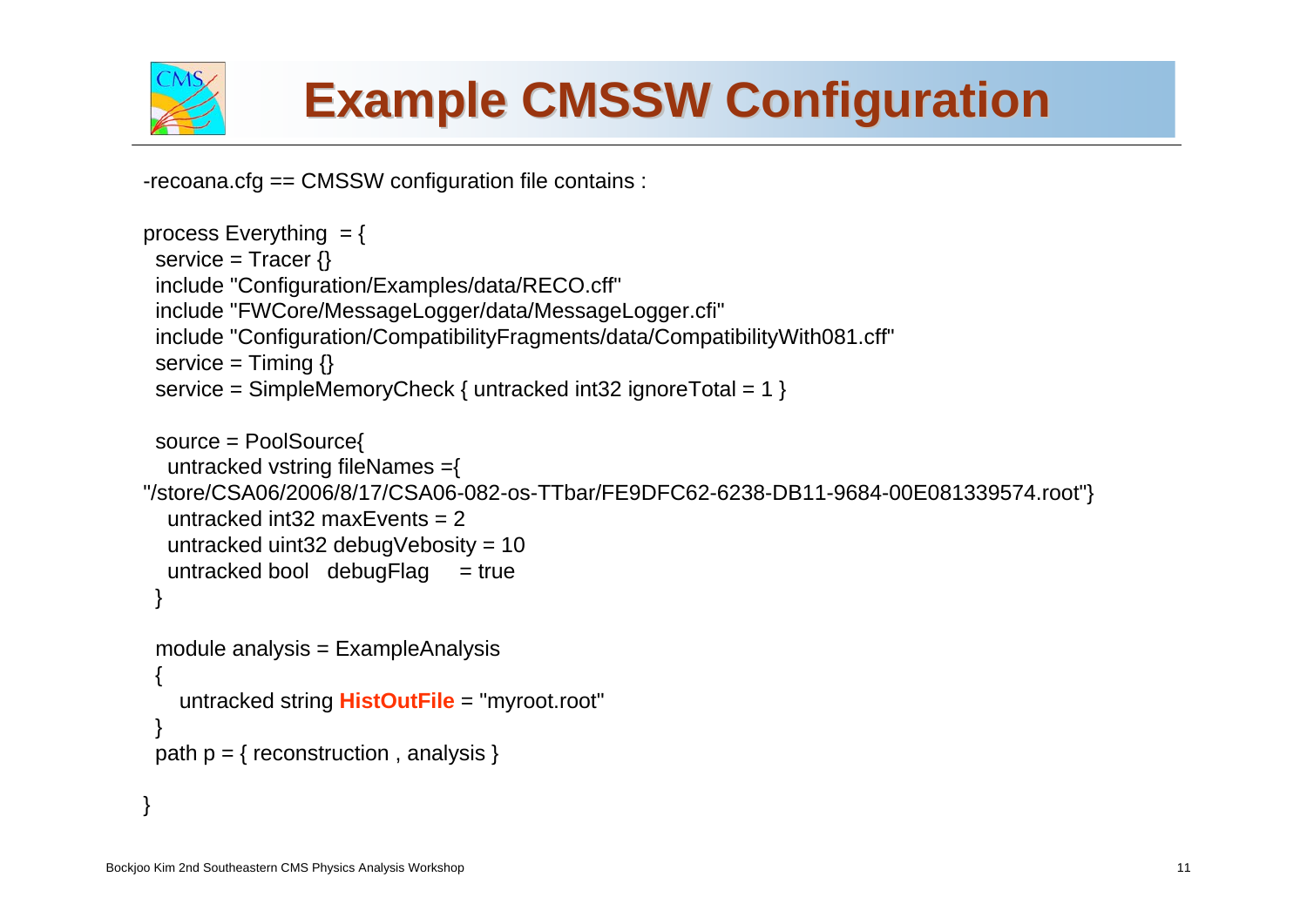

# **Example CMSSW Configuration Example CMSSW Configuration**

-recoana.cfg == CMSSW configuration file contains :

```
Stan Durkinuntracked string HistOutFile ="myroot.root"
                              The Ohio State University State University
process Everything = {
 service = Tracer \{\}include "Configuration/Examples/data/RECO.cff"
 include "FWCore/MessageLogger/data/MessageLogger.cfi"
 include "Configuration/CompatibilityFragments/data/CompatibilityWith081.cff" 
 service = Timing \{ \}service = SimpleMemoryCheck { untracked int32 ignoreTotal = 1 } 
 source = PoolSource{
  untracked vstring fileNames ={
"/store/CSA06/2006/8/17/CSA06-082-os-TTbar/FE9DFC62-6238-DB11-9684-00E081339574.root"}
  untracked int32 maxEvents = 2
  untracked uint32 debugVebosity = 10
  untracked bool debugFlag = true
 }
 module analysis = ExampleAnalysis
 {
 }
 path p = \{ reconstruction, analysis \}}
```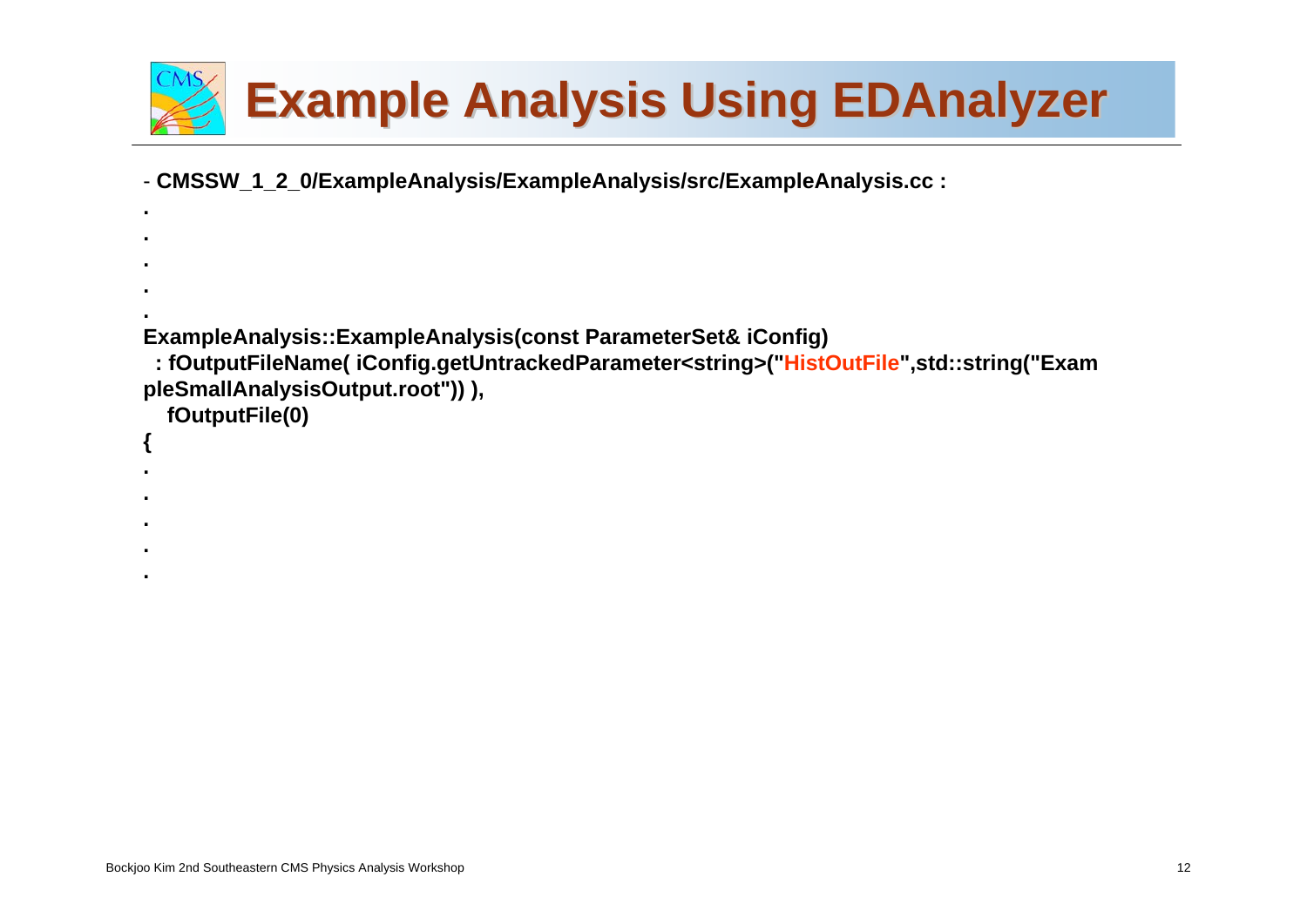

W\_1\_2\_0/ExampleAnalysis/ExampleAnalysis/src/ExampleAnalysis.cc : - **CMSSW\_1\_2\_0/ExampleAnalysis/ExampleAnalysis/src/ExampleAnalysis.cc :**

```
...ExampleAnalysis::ExampleAnalysis(const ParameterSet& iConfig)
 : fOutputFileName( iConfig.getUntrackedParameter<string>("HistOutFile",std::string("Exam
pleSmallAnalysisOutput.root")) ),
  fOutputFile(0)
{
...
```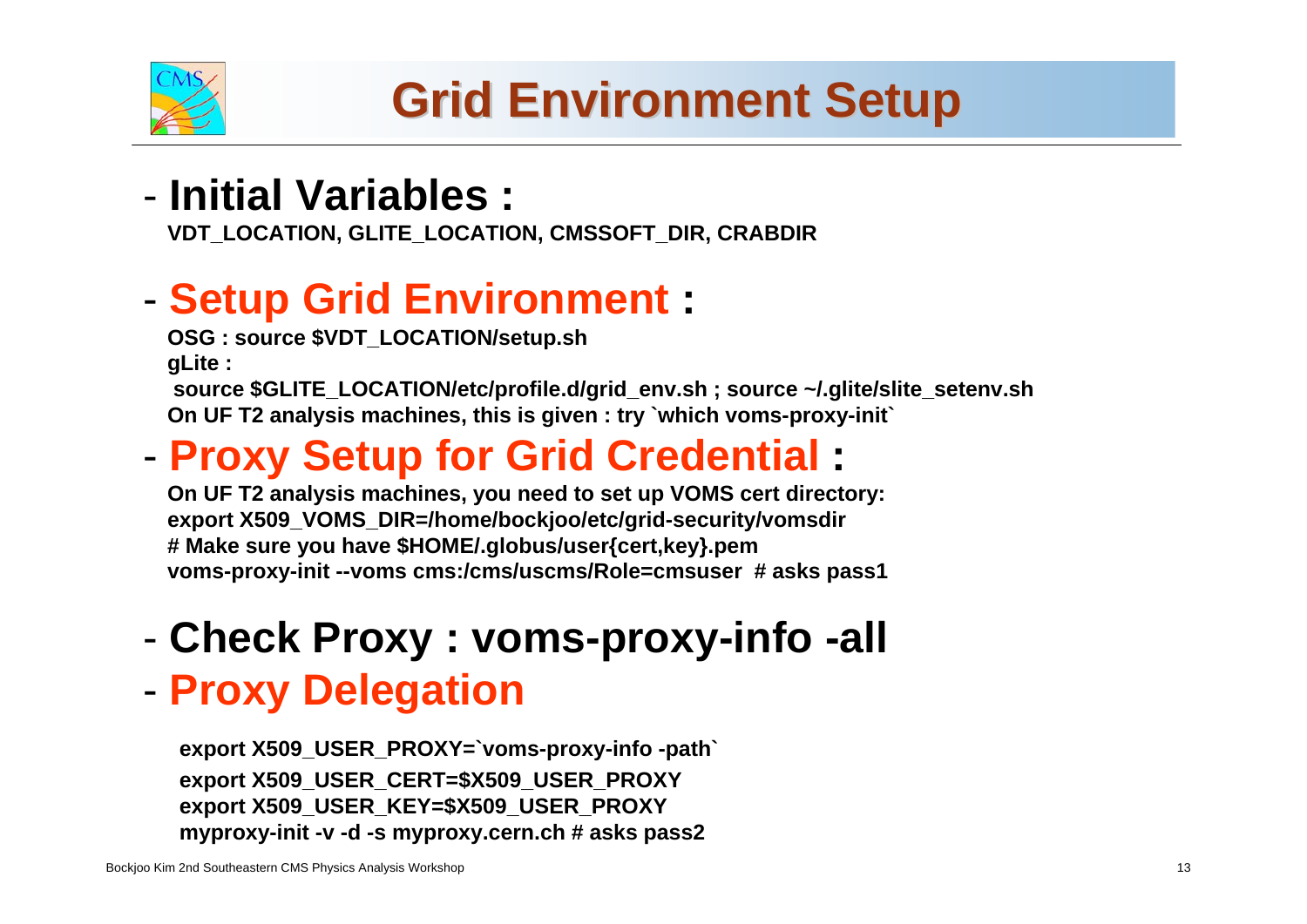

# **Commission Commission Commission Commission Commission Commission Commission Commission Commission Commission Commission Commission Commission Commission Commission Commission Commission Commission Commission Commission C**

**VDT\_LOCATION, GLITE\_LOCATION, CMSSOFT\_DIR, CRABDIR**

## **Setup Grid Environment :**

**OSG : source \$VDT\_LOCATION/setup.sh gLite :** 

**source \$GLITE\_LOCATION/etc/profile.d/grid\_env.sh ; source ~/.glite/slite\_setenv.sh On UF T2 analysis machines, this is given : try `which voms-proxy-init`**

## **Proxy Setup for Grid Credential :**

**On UF T2 analysis machines, you need to set up VOMS cert directory: export X509\_VOMS\_DIR=/home/bockjoo/etc/grid-security/vomsdir # Make sure you have \$HOME/.globus/user{cert,key}.pem voms-proxy-init --voms cms:/cms/uscms/Role=cmsuser # asks pass1**

-**Check Proxy : voms-proxy-info -all**

### -**Proxy Delegation**

**The Ohio State University export X509\_USER\_PROXY=`voms-proxy-info -path` for the CMS Collaborationexport X509\_USER\_KEY=\$X509\_USER\_PROXY export X509\_USER\_CERT=\$X509\_USER\_PROXY myproxy-init -v -d -s myproxy.cern.ch # asks pass2**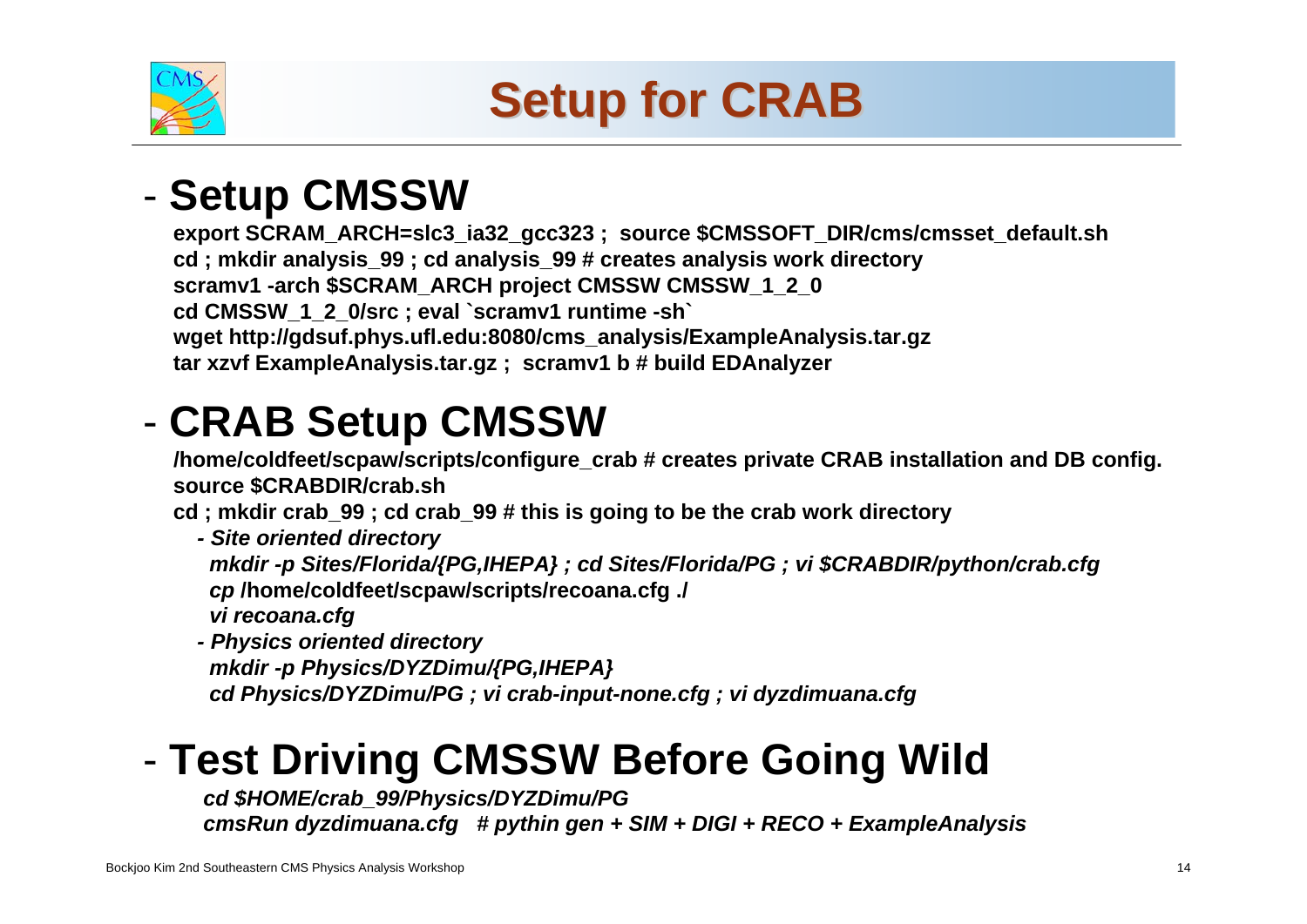

# **Setup for CRAB**

## **COMMISSION** - Setup CMSSW

**export SCRAM\_ARCH=slc3\_ia32\_gcc323 ; source \$CMSSOFT\_DIR/cms/cmsset\_default.sh cd ; mkdir analysis\_99 ; cd analysis\_99 # creates analysis work directory scramv1 -arch \$SCRAM\_ARCH project CMSSW CMSSW\_1\_2\_0 cd CMSSW\_1\_2\_0/src ; eval `scramv1 runtime -sh` wget http://gdsuf.phys.ufl.edu:8080/cms\_analysis/ExampleAnalysis.tar.gz tar xzvf ExampleAnalysis.tar.gz ; scramv1 b # build EDAnalyzer**

### -**CRAB Setup CMSSW**

**/home/coldfeet/scpaw/scripts/configure\_crab # creates private CRAB installation and DB config. source \$CRABDIR/crab.sh**

**cd ; mkdir crab\_99 ; cd crab\_99 # this is going to be the crab work directory**

*- Site oriented directory mkdir -p Sites/Florida/{PG,IHEPA} ; cd Sites/Florida/PG ; vi \$CRABDIR/python/crab.cfg cp* **/home/coldfeet/scpaw/scripts/recoana.cfg ./** *vi recoana.cfg*

**Stan Durkin***cd Physics/DYZDimu/PG ; vi crab-input-none.cfg ; vi dyzdimuana.cfg - Physics oriented directory mkdir -p Physics/DYZDimu/{PG,IHEPA}*

### - Test Driving CMSSW Before Goin **Test Driving CMSSW Before Going Wild**

**for the CMS Collaboration***cd \$HOME/crab\_99/Physics/DYZDimu/PG cmsRun dyzdimuana.cfg # pythin gen + SIM + DIGI + RECO + ExampleAnalysis*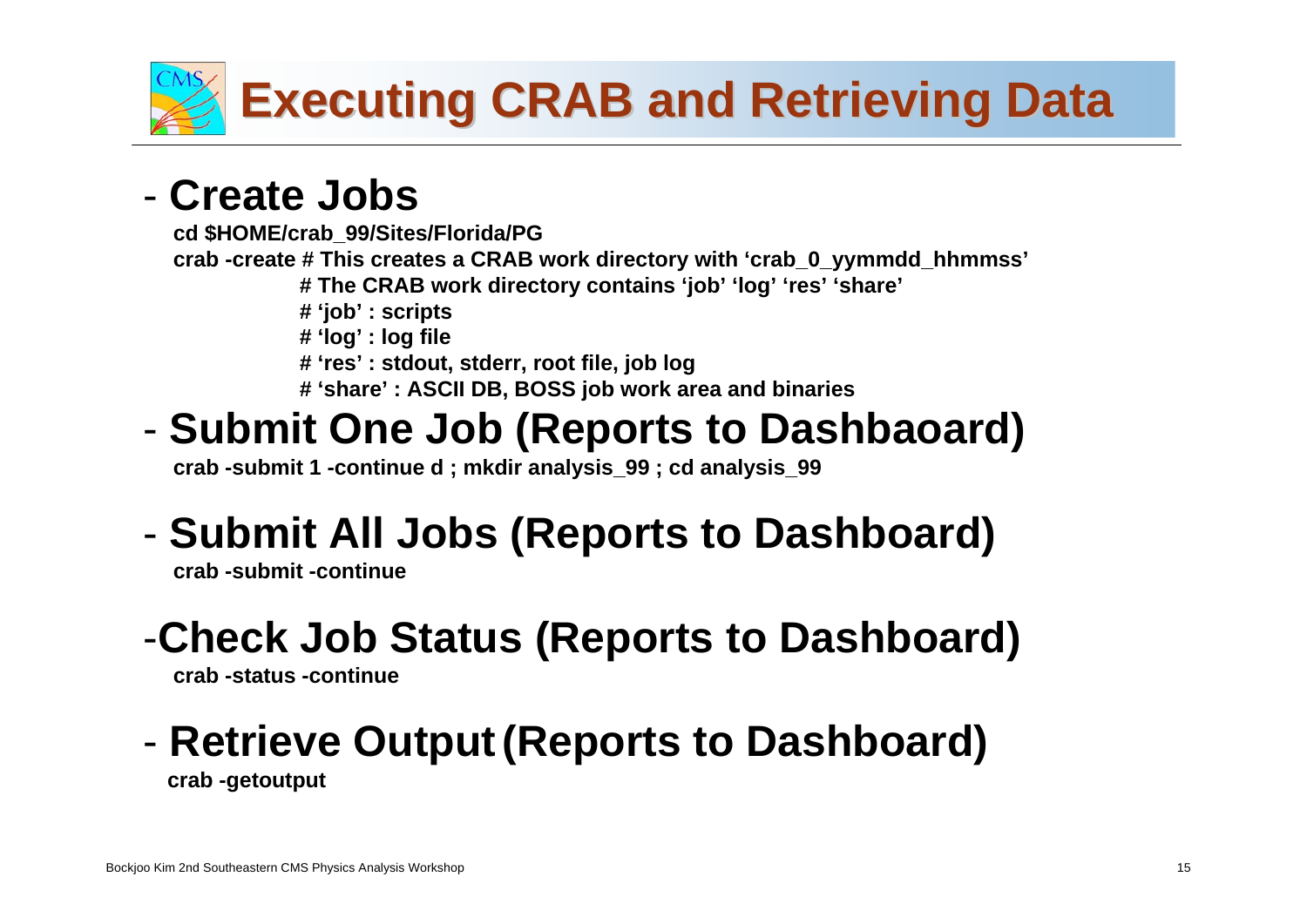

## **CMS Commissioning and First Data** - **Create Jobs**

**cd \$HOME/crab\_99/Sites/Florida/PG crab -create # This creates a CRAB work directory with 'crab\_0\_yymmdd\_hhmmss' # The CRAB work directory contains 'job' 'log' 'res' 'share' # 'job' : scripts # 'log' : log file # 'res' : stdout, stderr, root file, job log**

**# 'share' : ASCII DB, BOSS job work area and binaries** 

#### -**Submit One Job (Reports to Dashbaoard)**

**crab -submit 1 -continue d ; mkdir analysis\_99 ; cd analysis\_99**

## **Submit All Jobs (Reports to Dashboard)**

**crab -submit -continue**

## -**Check Job Status (Reports to Dashboard)**

**crab -status -continue**

### - Retrieve Output (Reports to Dash **Retrieve Output (Reports to Dashboard) crab -getoutput**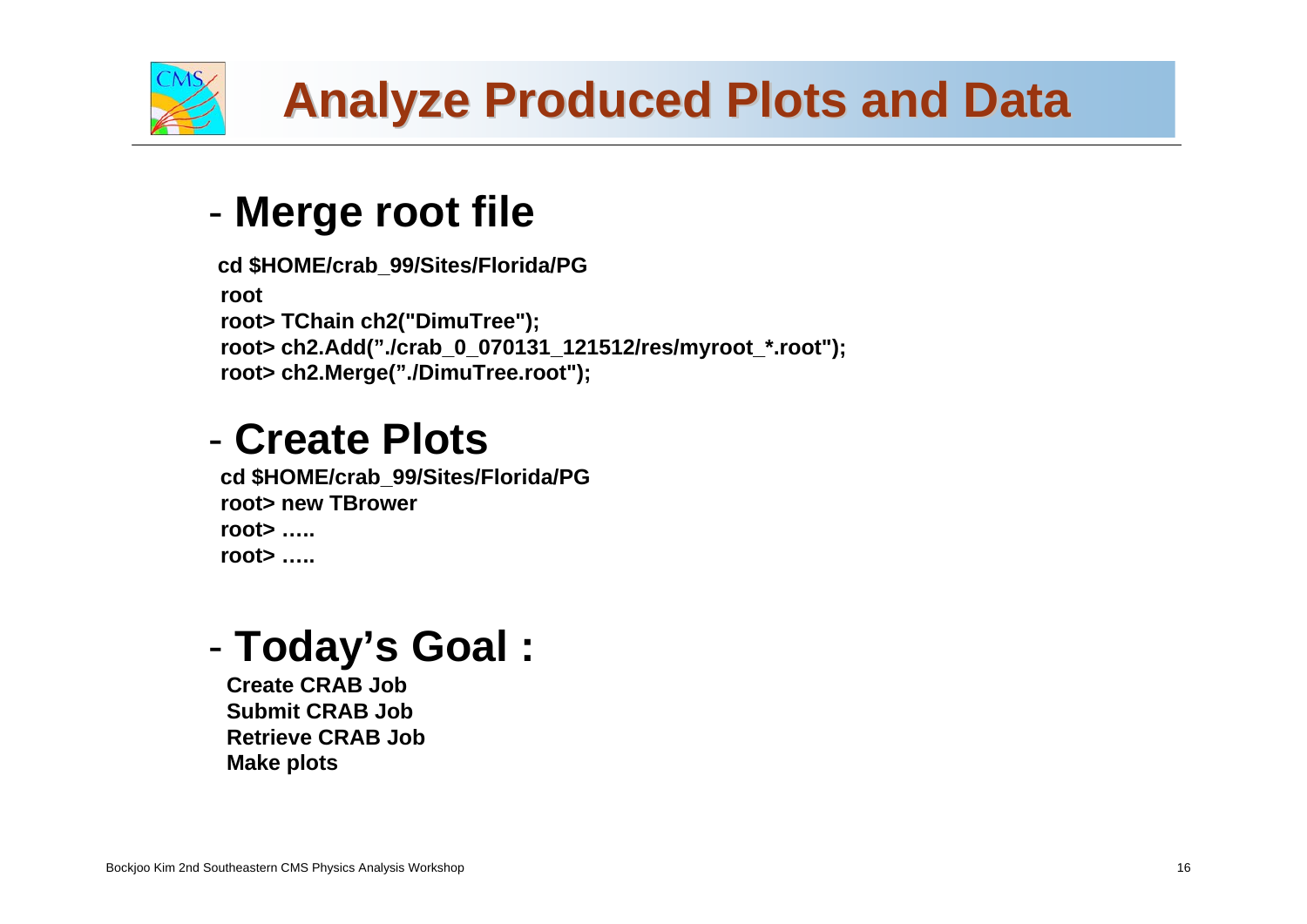

# **Analyze Produced Plots and Data Analyze Produced Plots and Data**

## **CMS Commissioning and First Data Merge root file**

```
cd $HOME/crab_99/Sites/Florida/PG
rootroot> TChain ch2("DimuTree");
root> ch2.Add("./crab_0_070131_121512/res/myroot_*.root");
root> ch2.Merge("./DimuTree.root");
```
## - **Create Plots**

**cd \$HOME/crab\_99/Sites/Florida/PG root> new TBrowerroot> …..root> …..**

#### -**Today's Goal :**

**Create CRAB JobSubmit CRAB JobRetrieve CRAB JobMake plots**